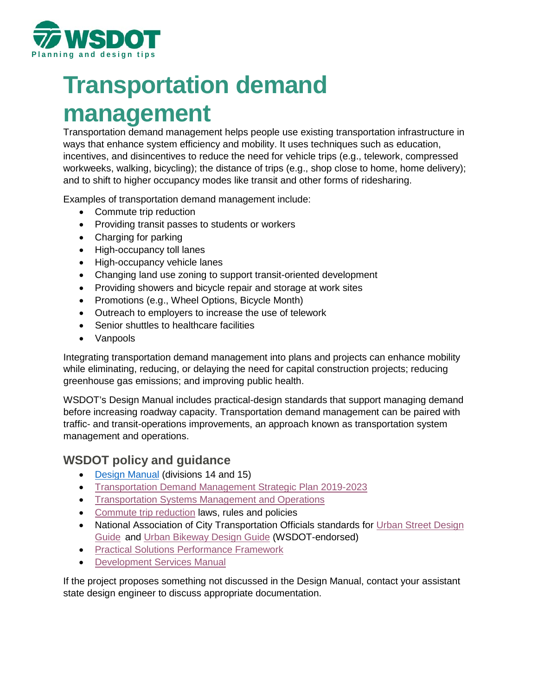

# **Transportation demand management**

Transportation demand management helps people use existing transportation infrastructure in ways that enhance system efficiency and mobility. It uses techniques such as education, incentives, and disincentives to reduce the need for vehicle trips (e.g., telework, compressed workweeks, walking, bicycling); the distance of trips (e.g., shop close to home, home delivery); and to shift to higher occupancy modes like transit and other forms of ridesharing.

Examples of transportation demand management include:

- Commute trip reduction
- Providing transit passes to students or workers
- Charging for parking
- High-occupancy toll lanes
- High-occupancy vehicle lanes
- Changing land use zoning to support transit-oriented development
- Providing showers and bicycle repair and storage at work sites
- Promotions (e.g., Wheel Options, Bicycle Month)
- Outreach to employers to increase the use of telework
- Senior shuttles to healthcare facilities
- Vanpools

Integrating transportation demand management into plans and projects can enhance mobility while eliminating, reducing, or delaying the need for capital construction projects; reducing greenhouse gas emissions; and improving public health.

WSDOT's Design Manual includes practical-design standards that support managing demand before increasing roadway capacity. Transportation demand management can be paired with traffic- and transit-operations improvements, an approach known as transportation system management and operations.

## **WSDOT policy and guidance**

- [Design Manual](https://www.wsdot.wa.gov/publications/manuals/fulltext/M22-01/design.pdf) (divisions 14 and 15)
- [Transportation Demand Management Strategic Plan 2019-2023](https://st2.ning.com/topology/rest/1.0/file/get/1485266090?profile=original)
- [Transportation Systems Management and Operations](https://tsmowa.org/)
- [Commute trip reduction](https://www.wsdot.wa.gov/transit/ctr/rules-policy) laws, rules and policies
- National Association of City Transportation Officials standards for Urban Street Design [Guide](https://nacto.org/publication/urban-street-design-guide/) and [Urban Bikeway Design Guide](https://nacto.org/publication/urban-bikeway-design-guide/) (WSDOT-endorsed)
- [Practical Solutions Performance Framework](http://performanceframework.wsdot-sites.com/)
- [Development Services Manual](https://www.wsdot.wa.gov/Publications/Manuals/M3007.htm)

If the project proposes something not discussed in the Design Manual, contact your assistant state design engineer to discuss appropriate documentation.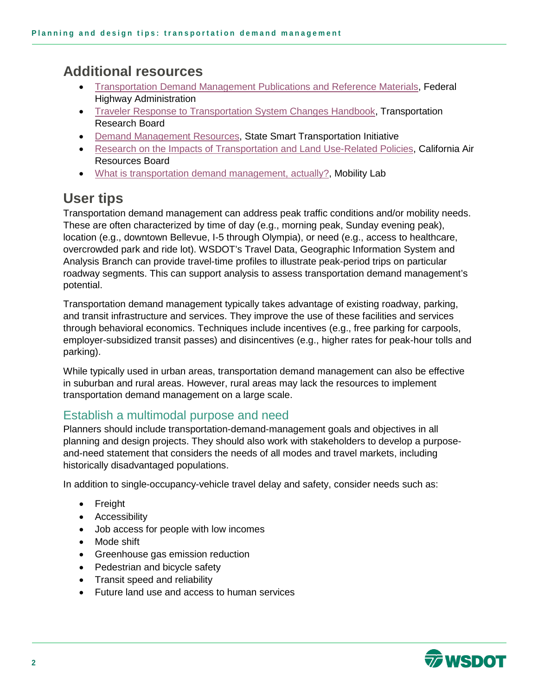# **Additional resources**

- Transportation Demand Management [Publications and Reference Materials,](https://ops.fhwa.dot.gov/tdm/ref_material.htm) Federal Highway Administration
- [Traveler Response to Transportation System Changes Handbook,](http://www.trb.org/Publications/TCRPReport95.aspx) Transportation Research Board
- [Demand Management Resources,](https://www.ssti.us/category/resources/demand-management-resources/) State Smart Transportation Initiative
- [Research on the Impacts of Transportation and Land Use-Related Policies,](https://ww3.arb.ca.gov/cc/sb375/policies/policies.htm) California Air Resources Board
- [What is transportation demand management, actually?,](https://mobilitylab.org/2018/07/27/what-is-transportation-demand-management-actually/) Mobility Lab

# **User tips**

Transportation demand management can address peak traffic conditions and/or mobility needs. These are often characterized by time of day (e.g., morning peak, Sunday evening peak), location (e.g., downtown Bellevue, I-5 through Olympia), or need (e.g., access to healthcare, overcrowded park and ride lot). WSDOT's Travel Data, Geographic Information System and Analysis Branch can provide travel-time profiles to illustrate peak-period trips on particular roadway segments. This can support analysis to assess transportation demand management's potential.

Transportation demand management typically takes advantage of existing roadway, parking, and transit infrastructure and services. They improve the use of these facilities and services through behavioral economics. Techniques include incentives (e.g., free parking for carpools, employer-subsidized transit passes) and disincentives (e.g., higher rates for peak-hour tolls and parking).

While typically used in urban areas, transportation demand management can also be effective in suburban and rural areas. However, rural areas may lack the resources to implement transportation demand management on a large scale.

#### Establish a multimodal purpose and need

Planners should include transportation-demand-management goals and objectives in all planning and design projects. They should also work with stakeholders to develop a purposeand-need statement that considers the needs of all modes and travel markets, including historically disadvantaged populations.

In addition to single-occupancy-vehicle travel delay and safety, consider needs such as:

- Freight
- Accessibility
- Job access for people with low incomes
- Mode shift
- Greenhouse gas emission reduction
- Pedestrian and bicycle safety
- Transit speed and reliability
- Future land use and access to human services

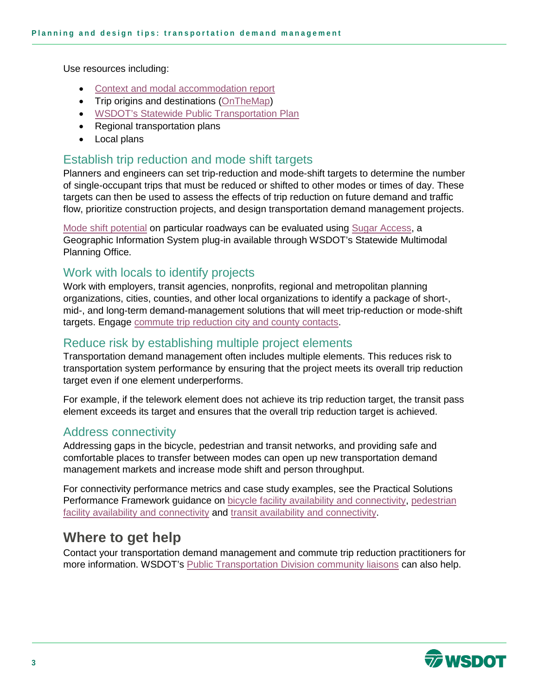Use resources including:

- [Context and modal accommodation report](http://www.wsdot.wa.gov/publications/fulltext/design/ASDE/ContextandModalAccommodationReport.docx)
- Trip origins and destinations [\(OnTheMap\)](https://onthemap.ces.census.gov/)
- [WSDOT's Statewide Public Transportation Plan](https://www.wsdot.wa.gov/sites/default/files/2019/10/15/PT-Report-WashingtonStatePublicTransportationPlan-2016.pdf)
- Regional transportation plans
- Local plans

#### Establish trip reduction and mode shift targets

Planners and engineers can set trip-reduction and mode-shift targets to determine the number of single-occupant trips that must be reduced or shifted to other modes or times of day. These targets can then be used to assess the effects of trip reduction on future demand and traffic flow, prioritize construction projects, and design transportation demand management projects.

[Mode shift potential](http://performanceframework.wsdot-sites.com/browse-performance-measures/mobility/efficiency/mode-usage/mode-share/) on particular roadways can be evaluated using [Sugar Access,](http://performanceframework.wsdot-sites.com/help-me-find-performance-measures/choose-by-analysis-tool/sugar-access/) a Geographic Information System plug-in available through WSDOT's Statewide Multimodal Planning Office.

#### Work with locals to identify projects

Work with employers, transit agencies, nonprofits, regional and metropolitan planning organizations, cities, counties, and other local organizations to identify a package of short-, mid-, and long-term demand-management solutions that will meet trip-reduction or mode-shift targets. Engage [commute trip reduction city and county contacts.](https://www.wsdot.wa.gov/transit/contact#Commute%20Trip%20Reduction)

### Reduce risk by establishing multiple project elements

Transportation demand management often includes multiple elements. This reduces risk to transportation system performance by ensuring that the project meets its overall trip reduction target even if one element underperforms.

For example, if the telework element does not achieve its trip reduction target, the transit pass element exceeds its target and ensures that the overall trip reduction target is achieved.

#### Address connectivity

Addressing gaps in the bicycle, pedestrian and transit networks, and providing safe and comfortable places to transfer between modes can open up new transportation demand management markets and increase mode shift and person throughput.

For connectivity performance metrics and case study examples, see the Practical Solutions Performance Framework guidance on [bicycle facility availability and connectivity,](http://performanceframework.wsdot-sites.com/browse-performance-measures/mobility/accessibility/multimodal-accessibility/bicycle-facility-availability-and-connectivity/) pedestrian [facility availability and connectivity](http://performanceframework.wsdot-sites.com/browse-performance-measures/mobility/accessibility/multimodal-accessibility/pedestrian-facility-availability-connectivity/) and [transit availability and connectivity.](http://performanceframework.wsdot-sites.com/browse-performance-measures/mobility/accessibility/multimodal-accessibility/transit-availability-and-connectivity/)

## **Where to get help**

Contact your transportation demand management and commute trip reduction practitioners for more information. WSDOT's [Public Transportation Division community liaisons](https://www.wsdot.wa.gov/transit/contact#WSDOT%20Public%20Transportation%20Division) can also help.